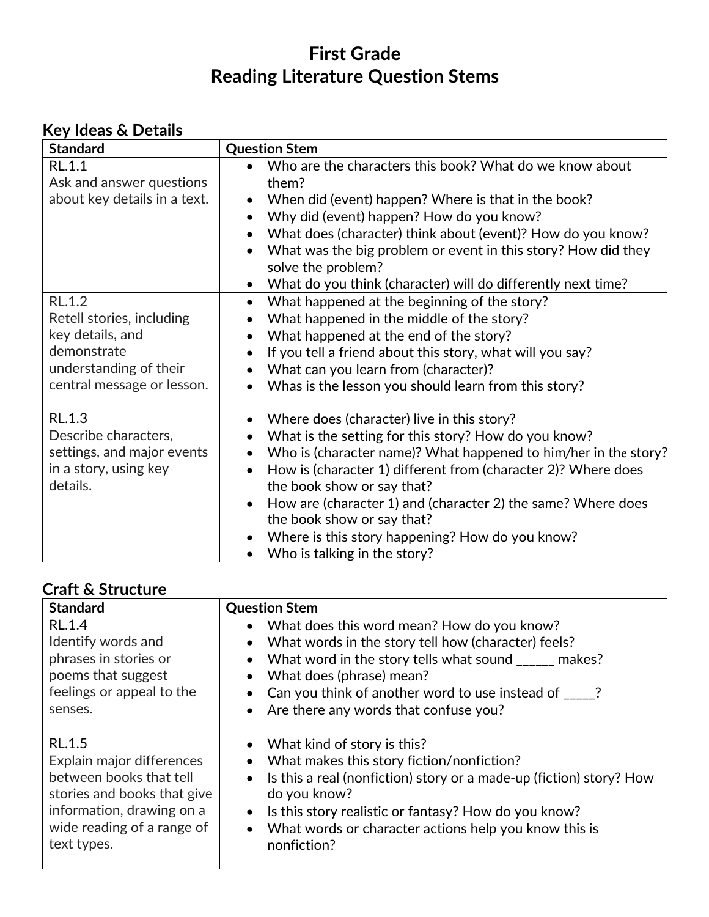## **First Grade Reading Literature Question Stems**

### **Key Ideas & Details**

| <b>Standard</b>                                                                                                                       | <b>Question Stem</b>                                                                                                                                                                                                                                                                                                                                                                                                                                                                                                                     |
|---------------------------------------------------------------------------------------------------------------------------------------|------------------------------------------------------------------------------------------------------------------------------------------------------------------------------------------------------------------------------------------------------------------------------------------------------------------------------------------------------------------------------------------------------------------------------------------------------------------------------------------------------------------------------------------|
| <b>RL.1.1</b><br>Ask and answer questions<br>about key details in a text.                                                             | Who are the characters this book? What do we know about<br>them?<br>When did (event) happen? Where is that in the book?<br>$\bullet$<br>Why did (event) happen? How do you know?<br>$\bullet$<br>What does (character) think about (event)? How do you know?<br>$\bullet$<br>What was the big problem or event in this story? How did they<br>$\bullet$<br>solve the problem?<br>What do you think (character) will do differently next time?<br>$\bullet$                                                                               |
| <b>RL.1.2</b><br>Retell stories, including<br>key details, and<br>demonstrate<br>understanding of their<br>central message or lesson. | What happened at the beginning of the story?<br>$\bullet$<br>What happened in the middle of the story?<br>What happened at the end of the story?<br>$\bullet$<br>If you tell a friend about this story, what will you say?<br>$\bullet$<br>What can you learn from (character)?<br>$\bullet$<br>Whas is the lesson you should learn from this story?                                                                                                                                                                                     |
| <b>RL.1.3</b><br>Describe characters,<br>settings, and major events<br>in a story, using key<br>details.                              | Where does (character) live in this story?<br>$\bullet$<br>What is the setting for this story? How do you know?<br>٠<br>Who is (character name)? What happened to him/her in the story?<br>$\bullet$<br>How is (character 1) different from (character 2)? Where does<br>$\bullet$<br>the book show or say that?<br>How are (character 1) and (character 2) the same? Where does<br>$\bullet$<br>the book show or say that?<br>Where is this story happening? How do you know?<br>$\bullet$<br>Who is talking in the story?<br>$\bullet$ |

### **Craft & Structure**

| <b>Standard</b>                                                                                                                                                                | <b>Question Stem</b>                                                                                                                                                                                                                                                                                                                                               |
|--------------------------------------------------------------------------------------------------------------------------------------------------------------------------------|--------------------------------------------------------------------------------------------------------------------------------------------------------------------------------------------------------------------------------------------------------------------------------------------------------------------------------------------------------------------|
| <b>RL.1.4</b><br>Identify words and<br>phrases in stories or<br>poems that suggest<br>feelings or appeal to the<br>senses.                                                     | What does this word mean? How do you know?<br>$\bullet$<br>What words in the story tell how (character) feels?<br>$\bullet$<br>What word in the story tells what sound _____ makes?<br>$\bullet$<br>What does (phrase) mean?<br>$\bullet$<br>Can you think of another word to use instead of $\frac{1}{2}$ ?<br>Are there any words that confuse you?<br>$\bullet$ |
| <b>RL.1.5</b><br>Explain major differences<br>between books that tell<br>stories and books that give<br>information, drawing on a<br>wide reading of a range of<br>text types. | What kind of story is this?<br>$\bullet$<br>What makes this story fiction/nonfiction?<br>$\bullet$<br>Is this a real (nonfiction) story or a made-up (fiction) story? How<br>$\bullet$<br>do you know?<br>Is this story realistic or fantasy? How do you know?<br>$\bullet$<br>What words or character actions help you know this is<br>$\bullet$<br>nonfiction?   |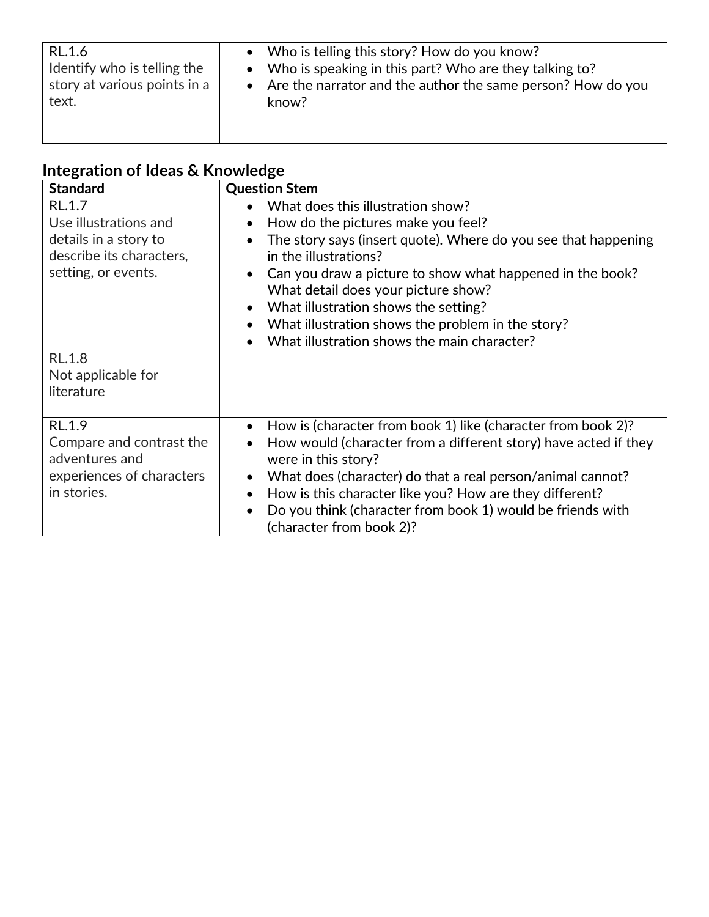| RL.1.6                       | • Who is telling this story? How do you know?                 |
|------------------------------|---------------------------------------------------------------|
| Identify who is telling the  | • Who is speaking in this part? Who are they talking to?      |
| story at various points in a | • Are the narrator and the author the same person? How do you |
| text.                        | know?                                                         |

# **Integration of Ideas & Knowledge**

| <b>Standard</b>                                                                                  | <b>Question Stem</b>                                                                                                                                                                                                                                                                                                                                                                                |
|--------------------------------------------------------------------------------------------------|-----------------------------------------------------------------------------------------------------------------------------------------------------------------------------------------------------------------------------------------------------------------------------------------------------------------------------------------------------------------------------------------------------|
| RL.1.7                                                                                           | What does this illustration show?<br>$\bullet$                                                                                                                                                                                                                                                                                                                                                      |
| Use illustrations and                                                                            | How do the pictures make you feel?                                                                                                                                                                                                                                                                                                                                                                  |
| details in a story to<br>describe its characters,<br>setting, or events.                         | The story says (insert quote). Where do you see that happening<br>in the illustrations?<br>Can you draw a picture to show what happened in the book?<br>What detail does your picture show?                                                                                                                                                                                                         |
|                                                                                                  | What illustration shows the setting?<br>$\bullet$                                                                                                                                                                                                                                                                                                                                                   |
|                                                                                                  | What illustration shows the problem in the story?<br>$\bullet$                                                                                                                                                                                                                                                                                                                                      |
|                                                                                                  | What illustration shows the main character?                                                                                                                                                                                                                                                                                                                                                         |
| <b>RL.1.8</b><br>Not applicable for<br>literature                                                |                                                                                                                                                                                                                                                                                                                                                                                                     |
| RL.1.9<br>Compare and contrast the<br>adventures and<br>experiences of characters<br>in stories. | How is (character from book 1) like (character from book 2)?<br>$\bullet$<br>How would (character from a different story) have acted if they<br>were in this story?<br>What does (character) do that a real person/animal cannot?<br>$\bullet$<br>How is this character like you? How are they different?<br>Do you think (character from book 1) would be friends with<br>(character from book 2)? |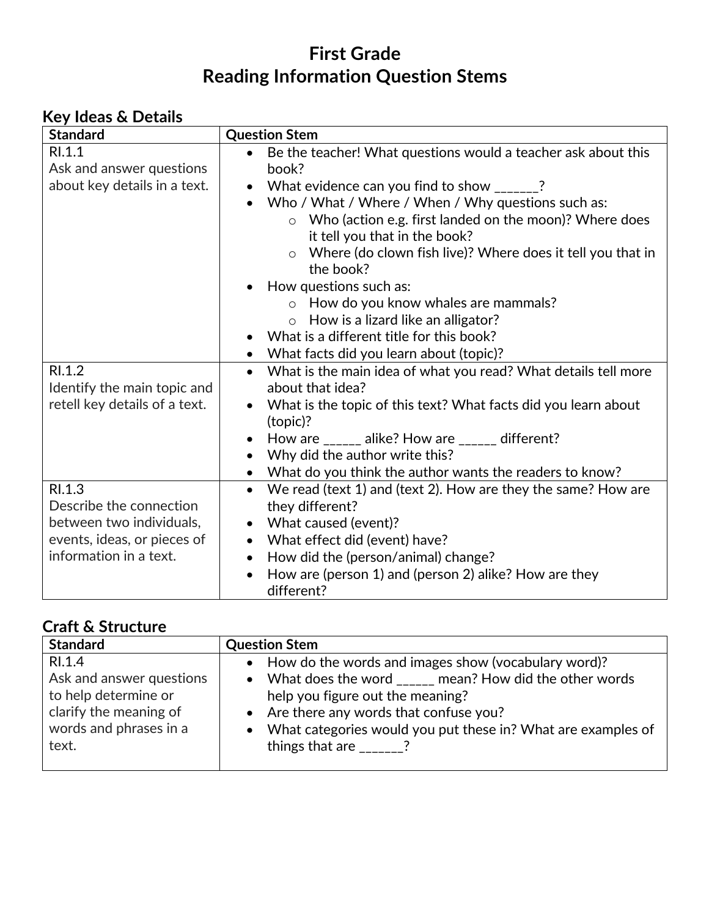## **First Grade Reading Information Question Stems**

### **Key Ideas & Details**

| <b>Standard</b>               | <b>Question Stem</b>                                                            |
|-------------------------------|---------------------------------------------------------------------------------|
| RI.1.1                        | Be the teacher! What questions would a teacher ask about this<br>$\bullet$      |
| Ask and answer questions      | book?                                                                           |
| about key details in a text.  | • What evidence can you find to show $\frac{1}{2}$                              |
|                               | • Who / What / Where / When / Why questions such as:                            |
|                               | o Who (action e.g. first landed on the moon)? Where does                        |
|                               | it tell you that in the book?                                                   |
|                               | $\circ$ Where (do clown fish live)? Where does it tell you that in<br>the book? |
|                               | How questions such as:                                                          |
|                               | $\circ$ How do you know whales are mammals?                                     |
|                               | $\circ$ How is a lizard like an alligator?                                      |
|                               | What is a different title for this book?                                        |
|                               | What facts did you learn about (topic)?                                         |
| RI.1.2                        | What is the main idea of what you read? What details tell more<br>$\bullet$     |
| Identify the main topic and   | about that idea?                                                                |
| retell key details of a text. | What is the topic of this text? What facts did you learn about<br>(topic)?      |
|                               | How are $\frac{1}{2}$ alike? How are $\frac{1}{2}$ different?                   |
|                               | Why did the author write this?                                                  |
|                               | • What do you think the author wants the readers to know?                       |
| RI.1.3                        | We read (text 1) and (text 2). How are they the same? How are<br>$\bullet$      |
| Describe the connection       | they different?                                                                 |
| between two individuals,      | What caused (event)?                                                            |
| events, ideas, or pieces of   | What effect did (event) have?                                                   |
| information in a text.        | How did the (person/animal) change?                                             |
|                               | How are (person 1) and (person 2) alike? How are they                           |
|                               | different?                                                                      |

### **Craft & Structure**

| <b>Standard</b>          | <b>Question Stem</b>                                           |
|--------------------------|----------------------------------------------------------------|
| RI.1.4                   | • How do the words and images show (vocabulary word)?          |
| Ask and answer questions | • What does the word _____ mean? How did the other words       |
| to help determine or     | help you figure out the meaning?                               |
| clarify the meaning of   | • Are there any words that confuse you?                        |
| words and phrases in a   | • What categories would you put these in? What are examples of |
| text.                    | things that are $\frac{1}{2}$                                  |
|                          |                                                                |